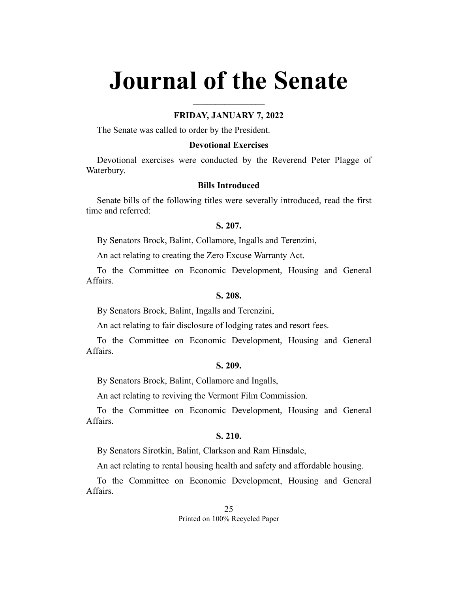# **Journal of the Senate**

# **FRIDAY, JANUARY 7, 2022**

**\_\_\_\_\_\_\_\_\_\_\_\_\_\_\_\_**

The Senate was called to order by the President.

## **Devotional Exercises**

Devotional exercises were conducted by the Reverend Peter Plagge of Waterbury.

## **Bills Introduced**

Senate bills of the following titles were severally introduced, read the first time and referred:

#### **S. 207.**

By Senators Brock, Balint, Collamore, Ingalls and Terenzini,

An act relating to creating the Zero Excuse Warranty Act.

To the Committee on Economic Development, Housing and General Affairs.

## **S. 208.**

By Senators Brock, Balint, Ingalls and Terenzini,

An act relating to fair disclosure of lodging rates and resort fees.

To the Committee on Economic Development, Housing and General Affairs.

#### **S. 209.**

By Senators Brock, Balint, Collamore and Ingalls,

An act relating to reviving the Vermont Film Commission.

To the Committee on Economic Development, Housing and General Affairs.

#### **S. 210.**

By Senators Sirotkin, Balint, Clarkson and Ram Hinsdale,

An act relating to rental housing health and safety and affordable housing.

To the Committee on Economic Development, Housing and General Affairs.

> 25 Printed on 100% Recycled Paper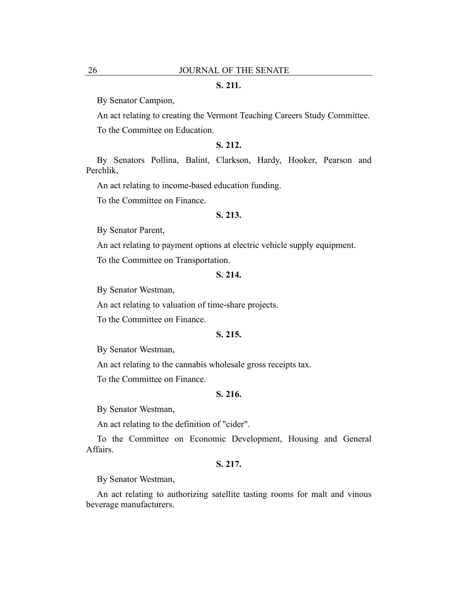## **S. 211.**

By Senator Campion,

An act relating to creating the Vermont Teaching Careers Study Committee.

To the Committee on Education.

# **S. 212.**

By Senators Pollina, Balint, Clarkson, Hardy, Hooker, Pearson and Perchlik,

An act relating to income-based education funding.

To the Committee on Finance.

#### **S. 213.**

By Senator Parent,

An act relating to payment options at electric vehicle supply equipment.

To the Committee on Transportation.

## **S. 214.**

By Senator Westman,

An act relating to valuation of time-share projects.

To the Committee on Finance.

## **S. 215.**

By Senator Westman,

An act relating to the cannabis wholesale gross receipts tax.

To the Committee on Finance.

## **S. 216.**

By Senator Westman,

An act relating to the definition of "cider".

To the Committee on Economic Development, Housing and General Affairs.

## **S. 217.**

By Senator Westman,

An act relating to authorizing satellite tasting rooms for malt and vinous beverage manufacturers.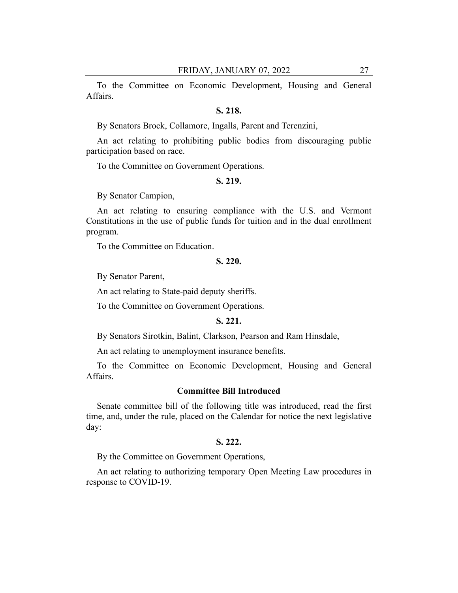To the Committee on Economic Development, Housing and General Affairs.

# **S. 218.**

By Senators Brock, Collamore, Ingalls, Parent and Terenzini,

An act relating to prohibiting public bodies from discouraging public participation based on race.

To the Committee on Government Operations.

#### **S. 219.**

By Senator Campion,

An act relating to ensuring compliance with the U.S. and Vermont Constitutions in the use of public funds for tuition and in the dual enrollment program.

To the Committee on Education.

#### **S. 220.**

By Senator Parent,

An act relating to State-paid deputy sheriffs.

To the Committee on Government Operations.

# **S. 221.**

By Senators Sirotkin, Balint, Clarkson, Pearson and Ram Hinsdale,

An act relating to unemployment insurance benefits.

To the Committee on Economic Development, Housing and General Affairs.

#### **Committee Bill Introduced**

Senate committee bill of the following title was introduced, read the first time, and, under the rule, placed on the Calendar for notice the next legislative day:

## **S. 222.**

By the Committee on Government Operations,

An act relating to authorizing temporary Open Meeting Law procedures in response to COVID-19.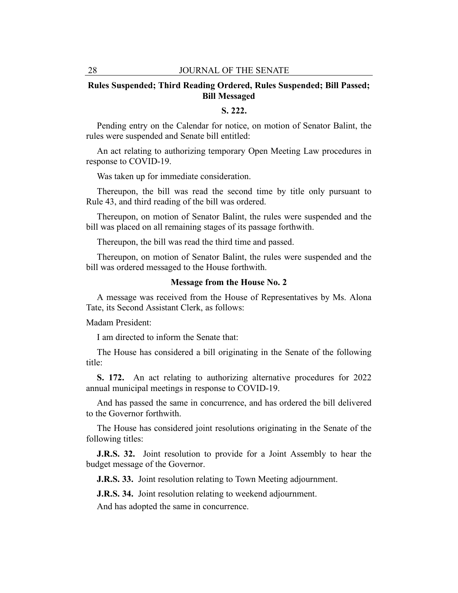# **Rules Suspended; Third Reading Ordered, Rules Suspended; Bill Passed; Bill Messaged**

# **S. 222.**

Pending entry on the Calendar for notice, on motion of Senator Balint, the rules were suspended and Senate bill entitled:

An act relating to authorizing temporary Open Meeting Law procedures in response to COVID-19.

Was taken up for immediate consideration.

Thereupon, the bill was read the second time by title only pursuant to Rule 43, and third reading of the bill was ordered.

Thereupon, on motion of Senator Balint, the rules were suspended and the bill was placed on all remaining stages of its passage forthwith.

Thereupon, the bill was read the third time and passed.

Thereupon, on motion of Senator Balint, the rules were suspended and the bill was ordered messaged to the House forthwith.

#### **Message from the House No. 2**

A message was received from the House of Representatives by Ms. Alona Tate, its Second Assistant Clerk, as follows:

Madam President:

I am directed to inform the Senate that:

The House has considered a bill originating in the Senate of the following title:

**S. 172.** An act relating to authorizing alternative procedures for 2022 annual municipal meetings in response to COVID-19.

And has passed the same in concurrence, and has ordered the bill delivered to the Governor forthwith.

The House has considered joint resolutions originating in the Senate of the following titles:

**J.R.S. 32.** Joint resolution to provide for a Joint Assembly to hear the budget message of the Governor.

**J.R.S. 33.** Joint resolution relating to Town Meeting adjournment.

**J.R.S. 34.** Joint resolution relating to weekend adjournment.

And has adopted the same in concurrence.